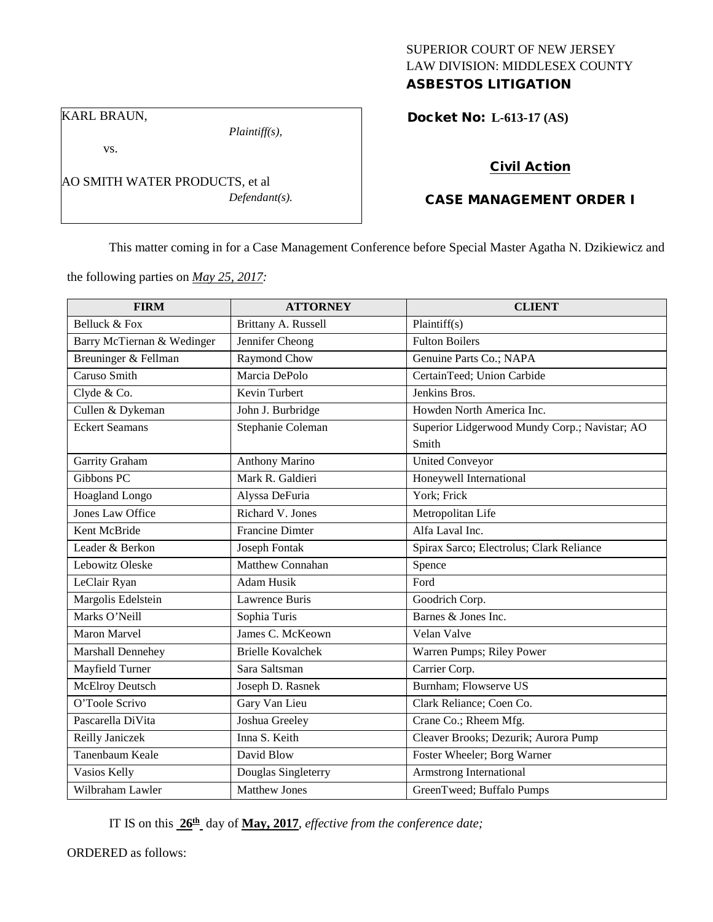# SUPERIOR COURT OF NEW JERSEY LAW DIVISION: MIDDLESEX COUNTY ASBESTOS LITIGATION

Docket No: **L-613-17 (AS)** 

KARL BRAUN,

vs.

*Plaintiff(s),*

*Defendant(s).*

Civil Action

# CASE MANAGEMENT ORDER I

This matter coming in for a Case Management Conference before Special Master Agatha N. Dzikiewicz and

the following parties on *May 25, 2017:*

AO SMITH WATER PRODUCTS, et al

| <b>FIRM</b>                | <b>ATTORNEY</b>          | <b>CLIENT</b>                                 |
|----------------------------|--------------------------|-----------------------------------------------|
| Belluck & Fox              | Brittany A. Russell      | Plaintiff(s)                                  |
| Barry McTiernan & Wedinger | Jennifer Cheong          | <b>Fulton Boilers</b>                         |
| Breuninger & Fellman       | <b>Raymond Chow</b>      | Genuine Parts Co.; NAPA                       |
| Caruso Smith               | Marcia DePolo            | CertainTeed; Union Carbide                    |
| Clyde & Co.                | Kevin Turbert            | Jenkins Bros.                                 |
| Cullen & Dykeman           | John J. Burbridge        | Howden North America Inc.                     |
| <b>Eckert Seamans</b>      | Stephanie Coleman        | Superior Lidgerwood Mundy Corp.; Navistar; AO |
|                            |                          | Smith                                         |
| Garrity Graham             | <b>Anthony Marino</b>    | <b>United Conveyor</b>                        |
| Gibbons PC                 | Mark R. Galdieri         | Honeywell International                       |
| Hoagland Longo             | Alyssa DeFuria           | York; Frick                                   |
| <b>Jones Law Office</b>    | Richard V. Jones         | Metropolitan Life                             |
| Kent McBride               | <b>Francine Dimter</b>   | Alfa Laval Inc.                               |
| Leader & Berkon            | <b>Joseph Fontak</b>     | Spirax Sarco; Electrolus; Clark Reliance      |
| Lebowitz Oleske            | Matthew Connahan         | Spence                                        |
| LeClair Ryan               | <b>Adam Husik</b>        | Ford                                          |
| Margolis Edelstein         | Lawrence Buris           | Goodrich Corp.                                |
| Marks O'Neill              | Sophia Turis             | Barnes & Jones Inc.                           |
| <b>Maron Marvel</b>        | James C. McKeown         | Velan Valve                                   |
| Marshall Dennehey          | <b>Brielle Kovalchek</b> | Warren Pumps; Riley Power                     |
| Mayfield Turner            | Sara Saltsman            | Carrier Corp.                                 |
| McElroy Deutsch            | Joseph D. Rasnek         | Burnham; Flowserve US                         |
| O'Toole Scrivo             | Gary Van Lieu            | Clark Reliance; Coen Co.                      |
| Pascarella DiVita          | Joshua Greeley           | Crane Co.; Rheem Mfg.                         |
| Reilly Janiczek            | Inna S. Keith            | Cleaver Brooks; Dezurik; Aurora Pump          |
| Tanenbaum Keale            | David Blow               | Foster Wheeler; Borg Warner                   |
| Vasios Kelly               | Douglas Singleterry      | Armstrong International                       |
| Wilbraham Lawler           | <b>Matthew Jones</b>     | GreenTweed; Buffalo Pumps                     |

IT IS on this **26th** day of **May, 2017**, *effective from the conference date;*

ORDERED as follows: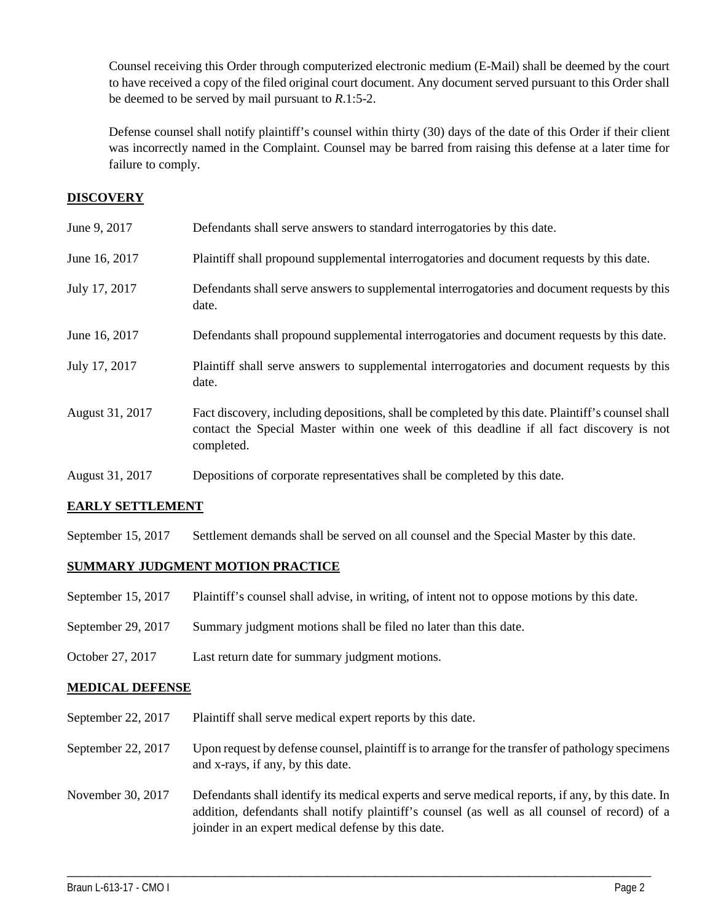Counsel receiving this Order through computerized electronic medium (E-Mail) shall be deemed by the court to have received a copy of the filed original court document. Any document served pursuant to this Order shall be deemed to be served by mail pursuant to *R*.1:5-2.

Defense counsel shall notify plaintiff's counsel within thirty (30) days of the date of this Order if their client was incorrectly named in the Complaint. Counsel may be barred from raising this defense at a later time for failure to comply.

## **DISCOVERY**

| June 9, 2017    | Defendants shall serve answers to standard interrogatories by this date.                                                                                                                                    |
|-----------------|-------------------------------------------------------------------------------------------------------------------------------------------------------------------------------------------------------------|
| June 16, 2017   | Plaintiff shall propound supplemental interrogatories and document requests by this date.                                                                                                                   |
| July 17, 2017   | Defendants shall serve answers to supplemental interrogatories and document requests by this<br>date.                                                                                                       |
| June 16, 2017   | Defendants shall propound supplemental interrogatories and document requests by this date.                                                                                                                  |
| July 17, 2017   | Plaintiff shall serve answers to supplemental interrogatories and document requests by this<br>date.                                                                                                        |
| August 31, 2017 | Fact discovery, including depositions, shall be completed by this date. Plaintiff's counsel shall<br>contact the Special Master within one week of this deadline if all fact discovery is not<br>completed. |
| August 31, 2017 | Depositions of corporate representatives shall be completed by this date.                                                                                                                                   |

## **EARLY SETTLEMENT**

September 15, 2017 Settlement demands shall be served on all counsel and the Special Master by this date.

## **SUMMARY JUDGMENT MOTION PRACTICE**

- September 15, 2017 Plaintiff's counsel shall advise, in writing, of intent not to oppose motions by this date.
- September 29, 2017 Summary judgment motions shall be filed no later than this date.
- October 27, 2017 Last return date for summary judgment motions.

## **MEDICAL DEFENSE**

- September 22, 2017 Plaintiff shall serve medical expert reports by this date.
- September 22, 2017 Upon request by defense counsel, plaintiff is to arrange for the transfer of pathology specimens and x-rays, if any, by this date.
- November 30, 2017 Defendants shall identify its medical experts and serve medical reports, if any, by this date. In addition, defendants shall notify plaintiff's counsel (as well as all counsel of record) of a joinder in an expert medical defense by this date.

\_\_\_\_\_\_\_\_\_\_\_\_\_\_\_\_\_\_\_\_\_\_\_\_\_\_\_\_\_\_\_\_\_\_\_\_\_\_\_\_\_\_\_\_\_\_\_\_\_\_\_\_\_\_\_\_\_\_\_\_\_\_\_\_\_\_\_\_\_\_\_\_\_\_\_\_\_\_\_\_\_\_\_\_\_\_\_\_\_\_\_\_\_\_\_\_\_\_\_\_\_\_\_\_\_\_\_\_\_\_